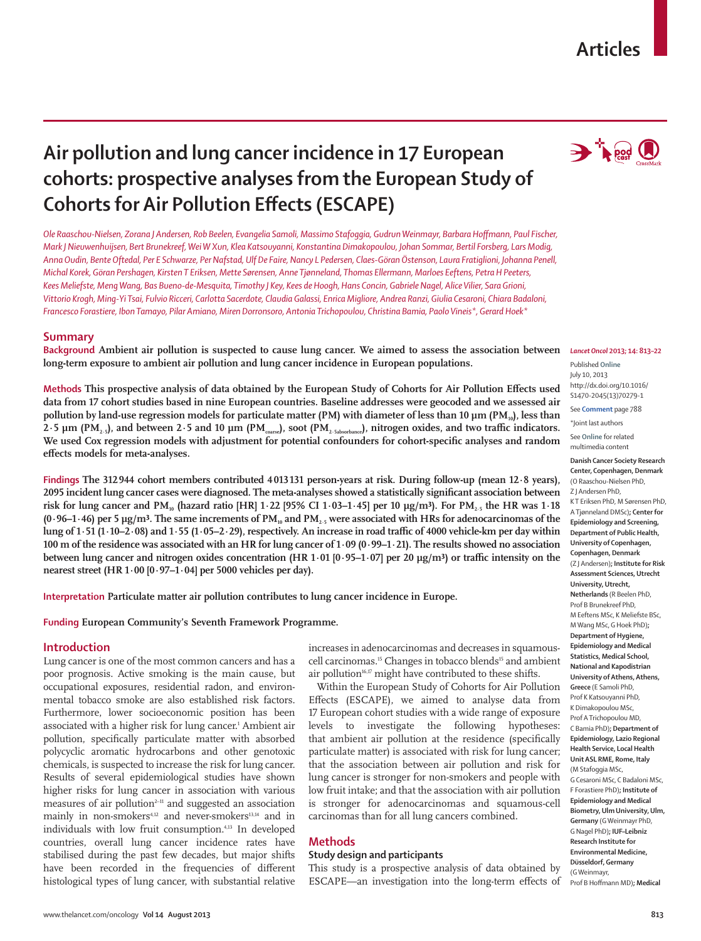# **Air pollution and lung cancer incidence in 17 European cohorts: prospective analyses from the European Study of Cohorts for Air Pollution Effects (ESCAPE)**

*Ole Raaschou-Nielsen, Zorana J Andersen, Rob Beelen, Evangelia Samoli, Massimo Stafoggia, Gudrun Weinmayr, Barbara Hoff mann, Paul Fischer, Mark J Nieuwenhuijsen, Bert Brunekreef, Wei W Xun, Klea Katsouyanni, Konstantina Dimakopoulou, Johan Sommar, Bertil Forsberg, Lars Modig, Anna Oudin, Bente Oftedal, Per E Schwarze, Per Nafstad, Ulf De Faire, Nancy L Pedersen, Claes-Göran Östenson, Laura Fratiglioni, Johanna Penell, Michal Korek, Göran Pershagen, Kirsten T Eriksen, Mette Sørensen, Anne Tjønneland, Thomas Ellermann, Marloes Eeftens, Petra H Peeters, Kees Meliefste, Meng Wang, Bas Bueno-de-Mesquita, Timothy J Key, Kees de Hoogh, Hans Concin, Gabriele Nagel, Alice Vilier, Sara Grioni, Vittorio Krogh, Ming-Yi Tsai, Fulvio Ricceri, Carlotta Sacerdote, Claudia Galassi, Enrica Migliore, Andrea Ranzi, Giulia Cesaroni, Chiara Badaloni, Francesco Forastiere, Ibon Tamayo, Pilar Amiano, Miren Dorronsoro, Antonia Trichopoulou, Christina Bamia, Paolo Vineis\*, Gerard Hoek\**

### **Summary**

**Background Ambient air pollution is suspected to cause lung cancer. We aimed to assess the association between long-term exposure to ambient air pollution and lung cancer incidence in European populations.**

**Methods** This prospective analysis of data obtained by the European Study of Cohorts for Air Pollution Effects used **data from 17 cohort studies based in nine European countries. Baseline addresses were geocoded and we assessed air pollution by land-use regression models for particulate matter (PM) with diameter of less than 10 μm (PM<sub>10</sub>), less than** 2·5 μm (PM<sub>2·5</sub>), and between 2·5 and 10 μm (PM<sub>coarse</sub>), soot (PM<sub>2·5absorbance</sub>), nitrogen oxides, and two traffic indicators. We used Cox regression models with adjustment for potential confounders for cohort-specific analyses and random effects models for meta-analyses.

**Findings The 312 944 cohort members contributed 4 013 131 person-years at risk. During follow-up (mean 12·8 years), 2095 incident lung cancer cases were diagnosed. The meta-analyses showed a statistically signifi cant association between risk for lung cancer and PM<sub>10</sub> (hazard ratio [HR] 1·22 [95% CI 1·03–1·45] per 10 μg/m<sup>3</sup>). For PM<sub>2·5</sub> the HR was 1·18**  $(0.96-1.46)$  per 5  $\mu$ g/m<sup>3</sup>. The same increments of PM<sub>10</sub> and PM<sub>2</sub>, were associated with HRs for adenocarcinomas of the lung of 1·51 (1·10–2·08) and 1·55 (1·05–2·29), respectively. An increase in road traffic of 4000 vehicle-km per day within **100 m of the residence was associated with an HR for lung cancer of 1·09 (0·99–1·21). The results showed no association between lung cancer and nitrogen oxides concentration (HR 1·01 [0·95–1·07] per 20 μg/m<sup>3</sup>) or traffic intensity on the nearest street (HR 1·00 [0·97–1·04] per 5000 vehicles per day).**

**Interpretation Particulate matter air pollution contributes to lung cancer incidence in Europe.**

**Funding European Community's Seventh Framework Programme.**

#### **Introduction**

Lung cancer is one of the most common cancers and has a poor prognosis. Active smoking is the main cause, but occupational exposures, residential radon, and environmental tobacco smoke are also established risk factors. Furthermore, lower socioeconomic position has been associated with a higher risk for lung cancer.<sup>1</sup> Ambient air pollution, specifically particulate matter with absorbed polycyclic aromatic hydrocarbons and other genotoxic chemicals, is suspected to increase the risk for lung cancer. Results of several epidemiological studies have shown higher risks for lung cancer in association with various measures of air pollution<sup>2-11</sup> and suggested an association mainly in non-smokers<sup>4,12</sup> and never-smokers<sup>13,14</sup> and in individuals with low fruit consumption.<sup>4,13</sup> In developed countries, overall lung cancer incidence rates have stabilised during the past few decades, but major shifts have been recorded in the frequencies of different histological types of lung cancer, with substantial relative

increases in adenocarcinomas and decreases in squamouscell carcinomas.<sup>15</sup> Changes in tobacco blends<sup>15</sup> and ambient air pollution<sup>16,17</sup> might have contributed to these shifts.

Within the European Study of Cohorts for Air Pollution Effects (ESCAPE), we aimed to analyse data from 17 European cohort studies with a wide range of exposure levels to investigate the following hypotheses: that ambient air pollution at the residence (specifically particulate matter) is associated with risk for lung cancer; that the association between air pollution and risk for lung cancer is stronger for non-smokers and people with low fruit intake; and that the association with air pollution is stronger for adenocarcinomas and squamous-cell carcinomas than for all lung cancers combined.

# **Methods**

# **Study design and participants**

This study is a prospective analysis of data obtained by ESCAPE—an investigation into the long-term effects of



**Articles**

#### *Lancet Oncol* **2013; 14: 813–22**

Published **Online** July 10, 2013 http://dx.doi.org/10.1016/ S1470-2045(13)70279-1

See **Comment** page 788 \*Joint last authors

See **Online** for related multimedia content

#### **Danish Cancer Society Research**

**Center, Copenhagen, Denmark** (O Raaschou-Nielsen PhD, Z J Andersen PhD, K T Eriksen PhD, M Sørensen PhD, A Tjønneland DMSc)**; Center for Epidemiology and Screening, Department of Public Health, University of Copenhagen, Copenhagen, Denmark** (Z J Andersen)**; Institute for Risk Assessment Sciences, Utrecht University, Utrecht, Netherlands** (R Beelen PhD, Prof B Brunekreef PhD, M Eeftens MSc, K Meliefste BSc, M Wang MSc, G Hoek PhD)**; Department of Hygiene, Epidemiology and Medical Statistics, Medical School, National and Kapodistrian University of Athens, Athens, Greece** (E Samoli PhD, Prof K Katsouyanni PhD, K Dimakopoulou MSc, Prof A Trichopoulou MD, C Bamia PhD)**; Department of Epidemiology, Lazio Regional Health Service, Local Health Unit ASL RME, Rome, Italy** (M Stafoggia MSc, G Cesaroni MSc, C Badaloni MSc, F Forastiere PhD)**; Institute of Epidemiology and Medical Biometry, Ulm University, Ulm, Germany** (G Weinmayr PhD, G Nagel PhD)**; IUF–Leibniz Research Institute for Environmental Medicine, Düsseldorf, Germany** (G Weinmayr,

**Prof B Hoffmann MD); Medical**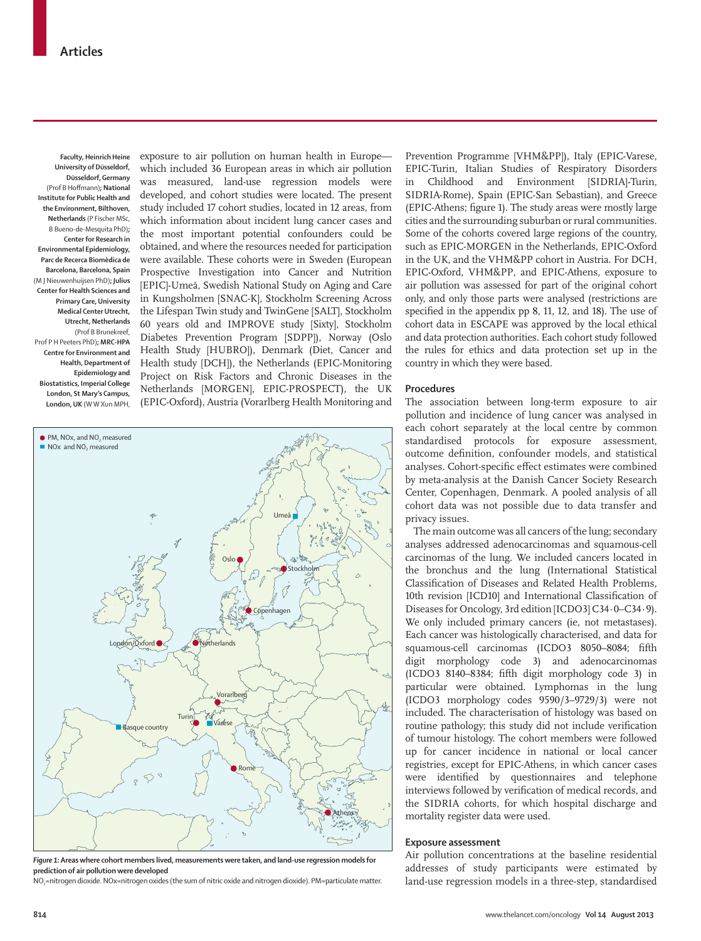**Faculty, Heinrich Heine University of Düsseldorf, Düsseldorf, Germany**  (Prof B Hoffmann); National **Institute for Public Health and the Environment, Bilthoven, Netherlands** (P Fischer MSc, B Bueno-de-Mesquita PhD)**; Center for Research in Environmental Epidemiology, Parc de Recerca Biomèdica de Barcelona, Barcelona, Spain** (M J Nieuwenhuijsen PhD)**; Julius Center for Health Sciences and Primary Care, University Medical Center Utrecht, Utrecht, Netherlands** (Prof B Brunekreef, Prof P H Peeters PhD)**; MRC-HPA Centre for Environment and Health, Department of Epidemiology and Biostatistics, Imperial College London, St Mary's Campus, London, UK** (W W Xun MPH,

exposure to air pollution on human health in Europe which included 36 European areas in which air pollution was measured, land-use regression models were developed, and cohort studies were located. The present study included 17 cohort studies, located in 12 areas, from which information about incident lung cancer cases and the most important potential confounders could be obtained, and where the resources needed for participation were available. These cohorts were in Sweden (European Prospective Investigation into Cancer and Nutrition [EPIC]-Umeå, Swedish National Study on Aging and Care in Kungsholmen [SNAC-K], Stockholm Screening Across the Lifespan Twin study and TwinGene [SALT], Stockholm 60 years old and IMPROVE study [Sixty], Stockholm Diabetes Prevention Program [SDPP]), Norway (Oslo Health Study [HUBRO]), Denmark (Diet, Cancer and Health study [DCH]), the Netherlands (EPIC-Monitoring Project on Risk Factors and Chronic Diseases in the Netherlands [MORGEN], EPIC-PROSPECT), the UK (EPIC-Oxford), Austria (Vorarlberg Health Monitoring and



*Figure 1:* **Areas where cohort members lived, measurements were taken, and land-use regression models for prediction of air pollution were developed**

NO<sub>2</sub>=nitrogen dioxide. NOx=nitrogen oxides (the sum of nitric oxide and nitrogen dioxide). PM=particulate matter.

Prevention Programme [VHM&PP]), Italy (EPIC-Varese, EPIC-Turin, Italian Studies of Respiratory Disorders in Childhood and Environment [SIDRIA]-Turin, SIDRIA-Rome), Spain (EPIC-San Sebastian), and Greece (EPIC-Athens; figure 1). The study areas were mostly large cities and the surrounding suburban or rural communities. Some of the cohorts covered large regions of the country, such as EPIC-MORGEN in the Netherlands, EPIC-Oxford in the UK, and the VHM&PP cohort in Austria. For DCH, EPIC-Oxford, VHM&PP, and EPIC-Athens, exposure to air pollution was assessed for part of the original cohort only, and only those parts were analysed (restrictions are specified in the appendix pp  $8$ ,  $11$ ,  $12$ , and  $18$ ). The use of cohort data in ESCAPE was approved by the local ethical and data protection authorities. Each cohort study followed the rules for ethics and data protection set up in the country in which they were based.

#### **Procedures**

The association between long-term exposure to air pollution and incidence of lung cancer was analysed in each cohort separately at the local centre by common standardised protocols for exposure assessment, outcome definition, confounder models, and statistical analyses. Cohort-specific effect estimates were combined by meta-analysis at the Danish Cancer Society Research Center, Copenhagen, Denmark. A pooled analysis of all cohort data was not possible due to data transfer and privacy issues.

The main outcome was all cancers of the lung; secondary analyses addressed adenocarcinomas and squamous-cell carcinomas of the lung. We included cancers located in the bronchus and the lung (International Statistical Classification of Diseases and Related Health Problems, 10th revision [ICD10] and International Classification of Diseases for Oncology, 3rd edition [ICDO3] C34·0–C34·9). We only included primary cancers (ie, not metastases). Each cancer was histologically characterised, and data for squamous-cell carcinomas (ICDO3 8050-8084; fifth digit morphology code 3) and adenocarcinomas (ICDO3 8140-8384; fifth digit morphology code 3) in particular were obtained. Lymphomas in the lung (ICDO3 morphology codes 9590/3–9729/3) were not included. The characterisation of histology was based on routine pathology; this study did not include verification of tumour histology. The cohort members were followed up for cancer incidence in national or local cancer registries, except for EPIC-Athens, in which cancer cases were identified by questionnaires and telephone interviews followed by verification of medical records, and the SIDRIA cohorts, for which hospital discharge and mortality register data were used.

# **Exposure assessment**

Air pollution concentrations at the baseline residential addresses of study participants were estimated by land-use regression models in a three-step, standardised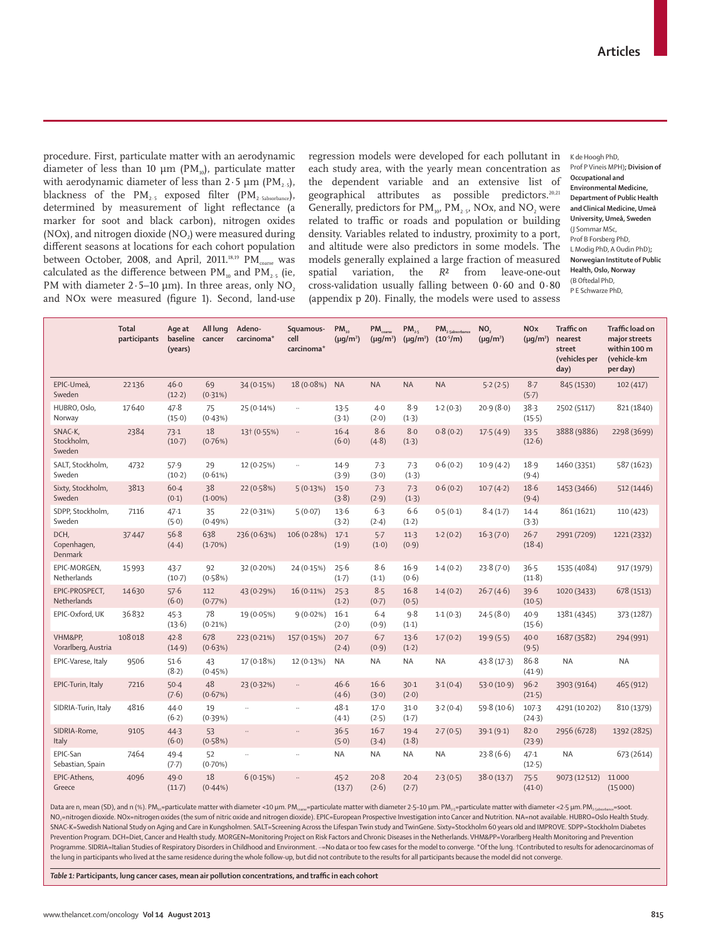procedure. First, particulate matter with an aerodynamic diameter of less than 10  $\mu$ m (PM<sub>10</sub>), particulate matter with aerodynamic diameter of less than  $2.5 \mu m$  (PM<sub>25</sub>), blackness of the  $PM_{2.5}$  exposed filter  $(PM_{2.5\text{absorbance}})$ , determined by measurement of light reflectance (a marker for soot and black carbon), nitrogen oxides (NOx), and nitrogen dioxide (NO<sub>2</sub>) were measured during different seasons at locations for each cohort population between October, 2008, and April, 2011.<sup>18,19</sup> PM<sub>coarse</sub> was calculated as the difference between  $PM_{10}$  and  $PM_{2.5}$  (ie, PM with diameter  $2.5-10 \mu m$ ). In three areas, only NO<sub>2</sub> and NO<sub>x</sub> were measured (figure 1). Second, land-use regression models were developed for each pollutant in each study area, with the yearly mean concentration as the dependent variable and an extensive list of geographical attributes as possible predictors.20,21 Generally, predictors for  $PM_{10}$ ,  $PM_{2.5}$ , NOx, and NO<sub>2</sub> were related to traffic or roads and population or building density. Variables related to industry, proximity to a port, and altitude were also predictors in some models. The models generally explained a large fraction of measured spatial variation, the *R*² from leave-one-out cross-validation usually falling between 0·60 and 0·80 (appendix p 20). Finally, the models were used to assess

K de Hoogh PhD, Prof P Vineis MPH)**; Division of Occupational and Environmental Medicine, Department of Public Health and Clinical Medicine, Umeå University, Umeå, Sweden** (J Sommar MSc, Prof B Forsberg PhD, L Modig PhD, A Oudin PhD)**; Norwegian Institute of Public Health, Oslo, Norway** (B Oftedal PhD, P E Schwarze PhD,

|                                 | <b>Total</b><br>participants | Age at<br>baseline<br>(years) | All lung<br>cancer | Adeno-<br>carcinoma* | Squamous-<br>cell<br>carcinoma* | $PM_{10}$<br>$(\mu g/m^3)$ | $PM_{coarse}$<br>$(\mu g/m^3)$ | $PM_{2.5}$<br>$(\mu g/m^3)$ | $\mathsf{PM}_{\mathsf{2}\text{-} \mathsf{Subsorbance}}$<br>$(10^{-5}/m)$ | NO <sub>2</sub><br>$(\mu q/m^3)$ | <b>NO<sub>x</sub></b><br>$(\mu g/m^3)$ | Traffic on<br>nearest<br>street<br>(vehicles per<br>day) | Traffic load on<br>major streets<br>within 100 m<br>(vehicle-km<br>per day) |
|---------------------------------|------------------------------|-------------------------------|--------------------|----------------------|---------------------------------|----------------------------|--------------------------------|-----------------------------|--------------------------------------------------------------------------|----------------------------------|----------------------------------------|----------------------------------------------------------|-----------------------------------------------------------------------------|
| EPIC-Umeå.<br>Sweden            | 22136                        | 46.0<br>(12.2)                | 69<br>(0.31%)      | 34 (0.15%)           | 18 (0.08%)                      | <b>NA</b>                  | <b>NA</b>                      | <b>NA</b>                   | <b>NA</b>                                                                | 5.2(2.5)                         | $8 - 7$<br>(5.7)                       | 845 (1530)                                               | 102(417)                                                                    |
| HUBRO, Oslo,<br>Norway          | 17640                        | 47.8<br>(15.0)                | 75<br>(0.43%)      | 25 (0.14%)           | $\ddotsc$                       | 13.5<br>(3.1)              | $4-0$<br>(2.0)                 | 8.9<br>$(1-3)$              | 1.2(0.3)                                                                 | 20.9(8.0)                        | 38.3<br>(15.5)                         | 2502 (5117)                                              | 821 (1840)                                                                  |
| SNAC-K,<br>Stockholm,<br>Sweden | 2384                         | 73.1<br>$(10-7)$              | 18<br>(0.76%)      | 13† (0.55%)          | $\ddotsc$                       | $16-4$<br>(6.0)            | 8.6<br>(4.8)                   | $8 - 0$<br>$(1-3)$          | 0.8(0.2)                                                                 | 17.5(4.9)                        | 33.5<br>(12.6)                         | 3888 (9886)                                              | 2298 (3699)                                                                 |
| SALT, Stockholm,<br>Sweden      | 4732                         | 57.9<br>(10.2)                | 29<br>(0.61%)      | 12 (0.25%)           | $\ldots$                        | 14.9<br>(3.9)              | 7.3<br>(3.0)                   | 7.3<br>$(1-3)$              | 0.6(0.2)                                                                 | 10.9(4.2)                        | 18.9<br>(9.4)                          | 1460 (3351)                                              | 587 (1623)                                                                  |
| Sixty, Stockholm,<br>Sweden     | 3813                         | $60-4$<br>(0.1)               | 38<br>$(1.00\%)$   | 22 (0.58%)           | 5(0.13%)                        | 15.0<br>(3.8)              | 7.3<br>(2.9)                   | 7.3<br>$(1-3)$              | 0.6(0.2)                                                                 | $10-7(4-2)$                      | 18.6<br>(9.4)                          | 1453 (3466)                                              | 512 (1446)                                                                  |
| SDPP, Stockholm,<br>Sweden      | 7116                         | 47.1<br>(5.0)                 | 35<br>(0.49%)      | 22 (0.31%)           | 5(0.07)                         | 13.6<br>(3.2)              | 6.3<br>(2.4)                   | 6.6<br>$(1-2)$              | 0.5(0.1)                                                                 | 8.4(1.7)                         | $14-4$<br>(3.3)                        | 861 (1621)                                               | 110 (423)                                                                   |
| DCH,<br>Copenhagen,<br>Denmark  | 37447                        | 56.8<br>(4.4)                 | 638<br>(1.70%)     | 236 (0.63%)          | 106 (0.28%)                     | $17-1$<br>(1.9)            | 5.7<br>$(1-0)$                 | 11.3<br>(0.9)               | 1.2(0.2)                                                                 | 16.3(7.0)                        | $26 - 7$<br>(18.4)                     | 2991 (7209)                                              | 1221 (2332)                                                                 |
| EPIC-MORGEN,<br>Netherlands     | 15993                        | 43.7<br>$(10-7)$              | 92<br>(0.58%)      | 32 (0.20%)           | 24 (0.15%)                      | 25.6<br>(1.7)              | 8.6<br>$(1-1)$                 | 16.9<br>(0.6)               | 1.4(0.2)                                                                 | 23.8(7.0)                        | 36.5<br>(11.8)                         | 1535 (4084)                                              | 917 (1979)                                                                  |
| EPIC-PROSPECT,<br>Netherlands   | 14630                        | 57.6<br>(6.0)                 | 112<br>(0.77%      | 43 (0.29%)           | $16(0.11\%)$                    | 25.3<br>$(1-2)$            | 8.5<br>(0.7)                   | 16.8<br>(0.5)               | 1.4(0.2)                                                                 | 26.7(4.6)                        | 39.6<br>(10.5)                         | 1020 (3433)                                              | 678 (1513)                                                                  |
| EPIC-Oxford, UK                 | 36832                        | 45.3<br>(13.6)                | 78<br>$(0.21\%)$   | 19 (0.05%)           | $9(0.02\%)$                     | $16-1$<br>(2.0)            | 6.4<br>(0.9)                   | 9.8<br>(1.1)                | 1.1(0.3)                                                                 | 24.5(8.0)                        | 40.9<br>(15.6)                         | 1381 (4345)                                              | 373 (1287)                                                                  |
| VHM&PP,<br>Vorarlberg, Austria  | 108018                       | 42.8<br>(14.9)                | 678<br>(0.63%)     | 223 (0.21%)          | 157 (0.15%)                     | $20 - 7$<br>(2.4)          | $6 - 7$<br>(0.9)               | 13.6<br>(1.2)               | 1.7(0.2)                                                                 | 19.9(5.5)                        | $40-0$<br>(9.5)                        | 1687 (3582)                                              | 294 (991)                                                                   |
| EPIC-Varese, Italy              | 9506                         | 51.6<br>(8.2)                 | 43<br>(0.45%)      | 17 (0.18%)           | 12 (0.13%)                      | NA                         | <b>NA</b>                      | NA                          | <b>NA</b>                                                                | 43.8(17.3)                       | 86.8<br>(41.9)                         | <b>NA</b>                                                | <b>NA</b>                                                                   |
| EPIC-Turin, Italy               | 7216                         | $50-4$<br>(7.6)               | 48<br>(0.67%)      | 23 (0.32%)           | $\ddotsc$                       | 46.6<br>(4.6)              | 16.6<br>(3.0)                  | $30-1$<br>(2.0)             | 3.1(0.4)                                                                 | 53.0(10.9)                       | 96.2<br>(21.5)                         | 3903 (9164)                                              | 465 (912)                                                                   |
| SIDRIA-Turin, Italy             | 4816                         | 44.0<br>(6.2)                 | 19<br>(0.39%)      | $\ddotsc$            | $\ddot{\phantom{a}}$            | 48.1<br>(4.1)              | 17.0<br>(2.5)                  | $31 - 0$<br>(1.7)           | 3.2(0.4)                                                                 | 59.8 (10.6)                      | 107.3<br>(24.3)                        | 4291 (10 202)                                            | 810 (1379)                                                                  |
| SIDRIA-Rome,<br>Italy           | 9105                         | 44.3<br>(6.0)                 | 53<br>(0.58%)      | $\ldots$             | $\ldots$                        | 36.5<br>(5.0)              | $16 - 7$<br>(3.4)              | $19-4$<br>(1.8)             | 2.7(0.5)                                                                 | 39.1(9.1)                        | 82.0<br>(23.9)                         | 2956 (6728)                                              | 1392 (2825)                                                                 |
| EPIC-San<br>Sebastian, Spain    | 7464                         | 49.4<br>(7.7)                 | 52<br>$(0.70\%)$   |                      | н.                              | <b>NA</b>                  | NA                             | <b>NA</b>                   | <b>NA</b>                                                                | 23.8(6.6)                        | 47.1<br>(12.5)                         | <b>NA</b>                                                | 673 (2614)                                                                  |
| EPIC-Athens.<br>Greece          | 4096                         | 49.0<br>$(11-7)$              | 18<br>(0.44% )     | 6(0.15%)             | $\ddotsc$                       | 45.2<br>(13.7)             | $20 - 8$<br>(2.6)              | $20-4$<br>$(2-7)$           | 2.3(0.5)                                                                 | 38.0(13.7)                       | 75.5<br>(41.0)                         | 9073 (12512)                                             | 11000<br>(15000)                                                            |

Data are n, mean (SD), and n (%). PM<sub>10</sub>=particulate matter with diameter <10 μm. PM<sub>200</sub>=particulate matter with diameter 2·5-10 μm. PM<sub>2</sub>×=particulate matter with diameter 2·5-10 μm. PM<sub>2</sub>×=particulate matter with diame NO2=nitrogen dioxide. NOx=nitrogen oxides (the sum of nitric oxide and nitrogen dioxide). EPIC=European Prospective Investigation into Cancer and Nutrition. NA=not available. HUBRO=Oslo Health Study. SNAC-K=Swedish National Study on Aging and Care in Kungsholmen. SALT=Screening Across the Lifespan Twin study and TwinGene. Sixty=Stockholm 60 years old and IMPROVE. SDPP=Stockholm Diabetes Prevention Program. DCH=Diet, Cancer and Health study. MORGEN=Monitoring Project on Risk Factors and Chronic Diseases in the Netherlands. VHM&PP=Vorarlberg Health Monitoring and Prevention Programme. SIDRIA=Italian Studies of Respiratory Disorders in Childhood and Environment. ··=No data or too few cases for the model to converge. \*Of the lung. †Contributed to results for adenocarcinomas of the lung in participants who lived at the same residence during the whole follow-up, but did not contribute to the results for all participants because the model did not converge.

*Table 1:* Participants, lung cancer cases, mean air pollution concentrations, and traffic in each cohort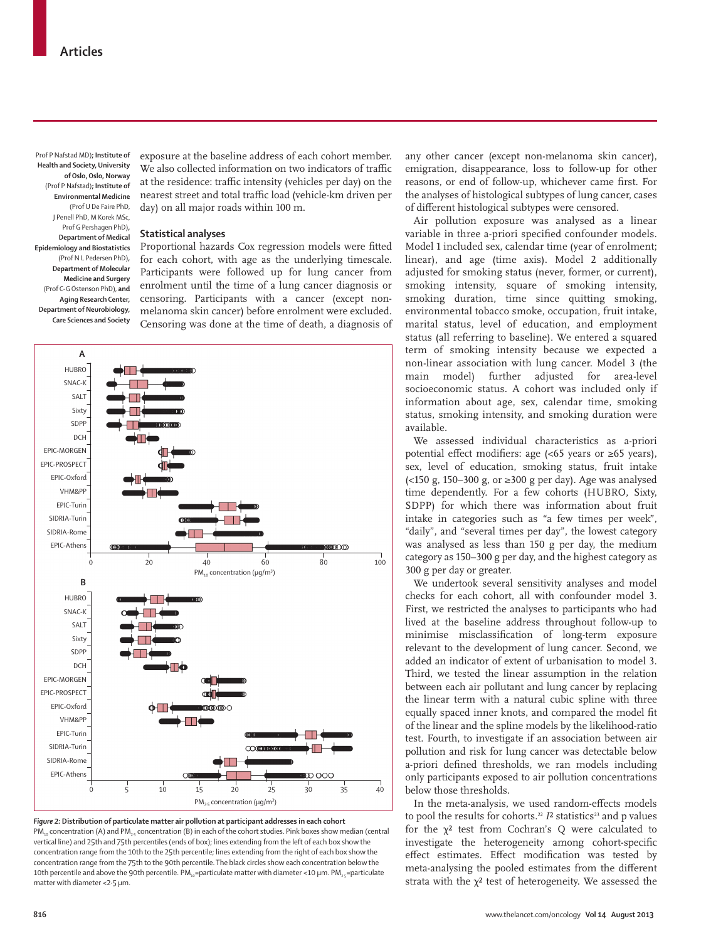Prof P Nafstad MD)**; Institute of Health and Society, University of Oslo, Oslo, Norway** (Prof P Nafstad)**; Institute of Environmental Medicine**  (Prof U De Faire PhD, J Penell PhD, M Korek MSc, Prof G Pershagen PhD)**, Department of Medical Epidemiology and Biostatistics**  (Prof N L Pedersen PhD)**, Department of Molecular Medicine and Surgery**  (Prof C-G Östenson PhD), **and Aging Research Center, Department of Neurobiology, Care Sciences and Society** 

exposure at the baseline address of each cohort member. We also collected information on two indicators of traffic at the residence: traffic intensity (vehicles per day) on the nearest street and total traffic load (vehicle-km driven per day) on all major roads within 100 m.

#### **Statistical analyses**

Proportional hazards Cox regression models were fitted for each cohort, with age as the underlying timescale. Participants were followed up for lung cancer from enrolment until the time of a lung cancer diagnosis or censoring. Participants with a cancer (except nonmelanoma skin cancer) before enrolment were excluded. Censoring was done at the time of death, a diagnosis of



*Figure 2:* **Distribution of particulate matter air pollution at participant addresses in each cohort**  $PM_{10}$  concentration (A) and PM<sub>25</sub> concentration (B) in each of the cohort studies. Pink boxes show median (central vertical line) and 25th and 75th percentiles (ends of box); lines extending from the left of each box show the concentration range from the 10th to the 25th percentile; lines extending from the right of each box show the concentration range from the 75th to the 90th percentile. The black circles show each concentration below the 10th percentile and above the 90th percentile. PM<sub>10</sub>=particulate matter with diameter <10  $\mu$ m. PM<sub>25</sub>=particulate matter with diameter <2·5 μm.

any other cancer (except non-melanoma skin cancer), emigration, disappearance, loss to follow-up for other reasons, or end of follow-up, whichever came first. For the analyses of histological subtypes of lung cancer, cases of different histological subtypes were censored.

Air pollution exposure was analysed as a linear variable in three a-priori specified confounder models. Model 1 included sex, calendar time (year of enrolment; linear), and age (time axis). Model 2 additionally adjusted for smoking status (never, former, or current), smoking intensity, square of smoking intensity, smoking duration, time since quitting smoking, environmental tobacco smoke, occupation, fruit intake, marital status, level of education, and employment status (all referring to baseline). We entered a squared term of smoking intensity because we expected a non-linear association with lung cancer. Model 3 (the main model) further adjusted for area-level socioeconomic status. A cohort was included only if information about age, sex, calendar time, smoking status, smoking intensity, and smoking duration were available.

We assessed individual characteristics as a-priori potential effect modifiers: age  $\approx 65$  years or  $\ge 65$  years), sex, level of education, smoking status, fruit intake ( $<150$  g, 150–300 g, or  $\geq$ 300 g per day). Age was analysed time dependently. For a few cohorts (HUBRO, Sixty, SDPP) for which there was information about fruit intake in categories such as "a few times per week", "daily", and "several times per day", the lowest category was analysed as less than 150 g per day, the medium category as 150–300 g per day, and the highest category as 300 g per day or greater.

We undertook several sensitivity analyses and model checks for each cohort, all with confounder model 3. First, we restricted the analyses to participants who had lived at the baseline address throughout follow-up to minimise misclassification of long-term exposure relevant to the development of lung cancer. Second, we added an indicator of extent of urbanisation to model 3. Third, we tested the linear assumption in the relation between each air pollutant and lung cancer by replacing the linear term with a natural cubic spline with three equally spaced inner knots, and compared the model fit of the linear and the spline models by the likelihood-ratio test. Fourth, to investigate if an association between air pollution and risk for lung cancer was detectable below a-priori defined thresholds, we ran models including only participants exposed to air pollution concentrations below those thresholds.

In the meta-analysis, we used random-effects models to pool the results for cohorts.<sup>22</sup> *I*<sup>2</sup> statistics<sup>23</sup> and p values for the  $\chi^2$  test from Cochran's Q were calculated to investigate the heterogeneity among cohort-specific effect estimates. Effect modification was tested by meta-analysing the pooled estimates from the different strata with the  $\chi^2$  test of heterogeneity. We assessed the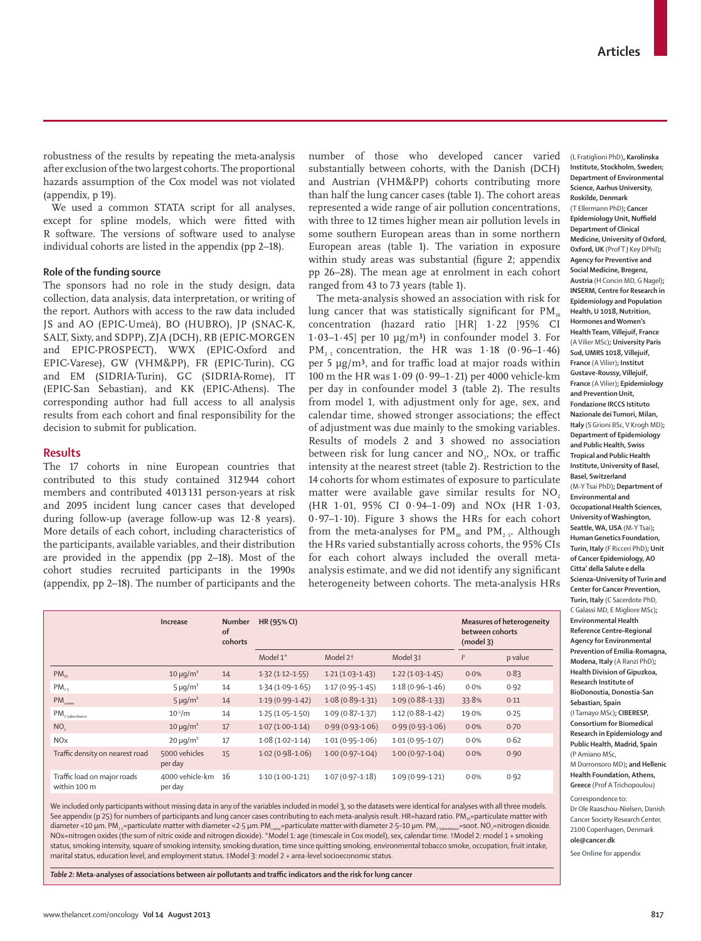(L Fratiglioni PhD)**, Karolinska Institute, Stockholm, Sweden; Department of Environmental Science, Aarhus University, Roskilde, Denmark** (T Ellermann PhD)**; Cancer Epidemiology Unit, Nuffield Department of Clinical Medicine, University of Oxford, Oxford, UK** (Prof T J Key DPhil)**; Agency for Preventive and Social Medicine, Bregenz,** 

robustness of the results by repeating the meta-analysis after exclusion of the two largest cohorts. The proportional hazards assumption of the Cox model was not violated (appendix, p 19).

We used a common STATA script for all analyses, except for spline models, which were fitted with R software. The versions of software used to analyse individual cohorts are listed in the appendix (pp 2–18).

## **Role of the funding source**

The sponsors had no role in the study design, data collection, data analysis, data interpretation, or writing of the report. Authors with access to the raw data included JS and AO (EPIC-Umeå), BO (HUBRO), JP (SNAC-K, SALT, Sixty, and SDPP), ZJA (DCH), RB (EPIC-MORGEN and EPIC-PROSPECT), WWX (EPIC-Oxford and EPIC-Varese), GW (VHM&PP), FR (EPIC-Turin), CG and EM (SIDRIA-Turin), GC (SIDRIA-Rome), IT (EPIC-San Sebastian), and KK (EPIC-Athens). The corresponding author had full access to all analysis results from each cohort and final responsibility for the decision to submit for publication.

## **Results**

The 17 cohorts in nine European countries that contributed to this study contained 312 944 cohort members and contributed 4 013 131 person-years at risk and 2095 incident lung cancer cases that developed during follow-up (average follow-up was 12·8 years). More details of each cohort, including characteristics of the participants, available variables, and their distribution are provided in the appendix (pp 2–18). Most of the cohort studies recruited participants in the 1990s (appendix, pp 2–18). The number of participants and the number of those who developed cancer varied substantially between cohorts, with the Danish (DCH) and Austrian (VHM&PP) cohorts contributing more than half the lung cancer cases (table 1). The cohort areas represented a wide range of air pollution concentrations, with three to 12 times higher mean air pollution levels in some southern European areas than in some northern European areas (table 1). The variation in exposure within study areas was substantial (figure 2; appendix pp 26–28). The mean age at enrolment in each cohort ranged from 43 to 73 years (table 1).

The meta-analysis showed an association with risk for lung cancer that was statistically significant for  $PM_{10}$ concentration (hazard ratio [HR] 1·22 [95% CI  $1.03-1.45$ ] per 10 μg/m<sup>3</sup>) in confounder model 3. For  $PM_{2.5}$  concentration, the HR was  $1.18$  (0.96-1.46) per 5  $\mu$ g/m<sup>3</sup>, and for traffic load at major roads within 100 m the HR was 1·09 (0·99–1·21) per 4000 vehicle-km per day in confounder model 3 (table 2). The results from model 1, with adjustment only for age, sex, and calendar time, showed stronger associations; the effect of adjustment was due mainly to the smoking variables. Results of models 2 and 3 showed no association between risk for lung cancer and NO<sub>2</sub>, NO<sub>x</sub>, or traffic intensity at the nearest street (table 2). Restriction to the 14 cohorts for whom estimates of exposure to particulate matter were available gave similar results for  $NO<sub>2</sub>$ (HR 1·01, 95% CI 0·94–1·09) and NOx (HR 1·03, 0·97–1·10). Figure 3 shows the HRs for each cohort from the meta-analyses for  $PM_{10}$  and  $PM_{2.5}$ . Although the HRs varied substantially across cohorts, the 95% CIs for each cohort always included the overall metaanalysis estimate, and we did not identify any significant heterogeneity between cohorts. The meta-analysis HRs

|                                             | Increase                   | <b>Number</b><br>of<br>cohorts | HR (95% CI)         |                      |                     | Measures of heterogeneity<br>between cohorts<br>(model 3) |         |
|---------------------------------------------|----------------------------|--------------------------------|---------------------|----------------------|---------------------|-----------------------------------------------------------|---------|
|                                             |                            |                                | Model 1*            | Model 2 <sup>+</sup> | Model 3‡            | $\mathbb{P}$                                              | p value |
| $PM_{10}$                                   | $10 \mu q/m^3$             | 14                             | $1.32(1.12 - 1.55)$ | $1.21(1.03-1.43)$    | $1.22(1.03-1.45)$   | 0.0%                                                      | 0.83    |
| PM <sub>2.5</sub>                           | $5 \mu q/m^3$              | 14                             | $1.34(1.09-1.65)$   | $1.17(0.95 - 1.45)$  | $1.18(0.96 - 1.46)$ | 0.0%                                                      | 0.92    |
| $PM_{\text{coarse}}$                        | $5 \mu q/m^3$              | 14                             | $1.19(0.99 - 1.42)$ | $1.08(0.89-1.31)$    | $1.09(0.88 - 1.33)$ | 33.8%                                                     | 0.11    |
| $PM_{2.5\text{absorbance}}$                 | $10^{-5}$ /m               | 14                             | $1.25(1.05 - 1.50)$ | $1.09(0.87 - 1.37)$  | $1.12(0.88 - 1.42)$ | 19.0%                                                     | 0.25    |
| NO <sub>2</sub>                             | $10 \mu q/m^3$             | 17                             | $1.07(1.00-1.14)$   | $0.99(0.93 - 1.06)$  | $0.99(0.93 - 1.06)$ | 0.0%                                                      | 0.70    |
| <b>NO<sub>X</sub></b>                       | $20 \mu q/m^3$             | 17                             | $1.08(1.02 - 1.14)$ | $1.01(0.95 - 1.06)$  | $1.01(0.95 - 1.07)$ | 0.0%                                                      | 0.62    |
| Traffic density on nearest road             | 5000 vehicles<br>per day   | 15                             | $1.02(0.98-1.06)$   | $1.00(0.97-1.04)$    | $1.00(0.97-1.04)$   | 0.0%                                                      | 0.90    |
| Traffic load on major roads<br>within 100 m | 4000 vehicle-km<br>per day | 16                             | $1.10(1.00-1.21)$   | $1.07(0.97-1.18)$    | $1.09(0.99 - 1.21)$ | 0.0%                                                      | 0.92    |

We included only participants without missing data in any of the variables included in model 3, so the datasets were identical for analyses with all three models See appendix (p 25) for numbers of participants and lung cancer cases contributing to each meta-analysis result. HR=hazard ratio. PM<sub>10</sub>=particulate matter with<br>diameter <10 um. PM<sub>1</sub>=particulate matter with diameter <2.5 diameter <10 µm. PM<sub>25</sub>=particulate matter with diameter <2·5 µm. PM<sub>coarse</sub>=particulate matter with diameter 2·5–10 µm. PM<sub>25absor</sub> NOx=nitrogen oxides (the sum of nitric oxide and nitrogen dioxide). \*Model 1: age (timescale in Cox model), sex, calendar time. †Model 2: model 1 + smoking status, smoking intensity, square of smoking intensity, smoking duration, time since quitting smoking, environmental tobacco smoke, occupation, fruit intake, marital status, education level, and employment status. ‡Model 3: model 2 + area-level socioeconomic status.

Table 2: Meta-analyses of associations between air pollutants and traffic indicators and the risk for lung cancer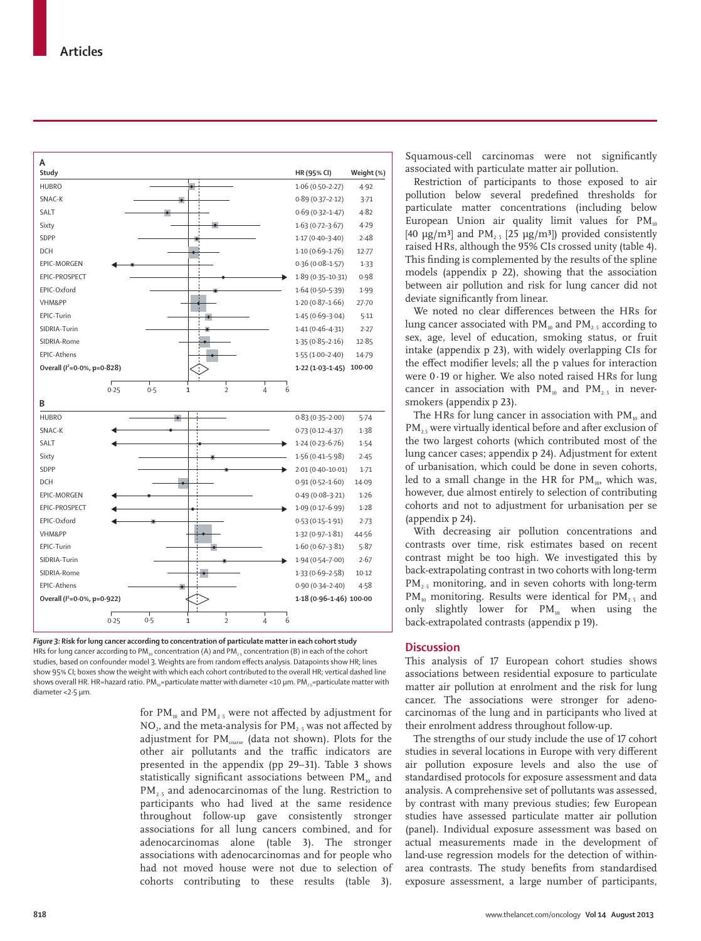

*Figure 3:* **Risk for lung cancer according to concentration of particulate matter in each cohort study** HRs for lung cancer according to PM<sub>10</sub> concentration (A) and PM<sub>25</sub> concentration (B) in each of the cohort studies, based on confounder model 3. Weights are from random effects analysis. Datapoints show HR; lines show 95% CI; boxes show the weight with which each cohort contributed to the overall HR; vertical dashed line shows overall HR. HR=hazard ratio. PM<sub>10</sub>=particulate matter with diameter <10 µm. PM<sub>25</sub>=particulate matter with diameter <2·5 μm.

> for  $PM_{10}$  and  $PM_{2.5}$  were not affected by adjustment for NO<sub>2</sub>, and the meta-analysis for  $PM_{2.5}$  was not affected by adjustment for  $PM_{\text{coarse}}$  (data not shown). Plots for the other air pollutants and the traffic indicators are presented in the appendix (pp 29–31). Table 3 shows statistically significant associations between  $PM_{10}$  and  $PM<sub>2.5</sub>$  and adenocarcinomas of the lung. Restriction to participants who had lived at the same residence throughout follow-up gave consistently stronger associations for all lung cancers combined, and for adenocarcinomas alone (table 3). The stronger associations with adenocarcinomas and for people who had not moved house were not due to selection of cohorts contributing to these results (table 3).

Squamous-cell carcinomas were not significantly associated with particulate matter air pollution.

Restriction of participants to those exposed to air pollution below several predefined thresholds for particulate matter concentrations (including below European Union air quality limit values for  $PM_{10}$ [40  $\mu$ g/m<sup>3</sup>] and PM<sub>2.5</sub> [25  $\mu$ g/m<sup>3</sup>]) provided consistently raised HRs, although the 95% CIs crossed unity (table 4). This finding is complemented by the results of the spline models (appendix p 22), showing that the association between air pollution and risk for lung cancer did not deviate significantly from linear.

We noted no clear differences between the HRs for lung cancer associated with  $PM_{10}$  and  $PM_{2.5}$  according to sex, age, level of education, smoking status, or fruit intake (appendix p 23), with widely overlapping CIs for the effect modifier levels; all the p values for interaction were 0·19 or higher. We also noted raised HRs for lung cancer in association with  $PM_{10}$  and  $PM_{2.5}$  in neversmokers (appendix p 23).

The HRs for lung cancer in association with  $PM_{10}$  and  $PM_{25}$  were virtually identical before and after exclusion of the two largest cohorts (which contributed most of the lung cancer cases; appendix p 24). Adjustment for extent of urbanisation, which could be done in seven cohorts, led to a small change in the HR for  $PM_{10}$ , which was, however, due almost entirely to selection of contributing cohorts and not to adjustment for urbanisation per se (appendix p 24).

With decreasing air pollution concentrations and contrasts over time, risk estimates based on recent contrast might be too high. We investigated this by back-extrapolating contrast in two cohorts with long-term  $PM_{2.5}$  monitoring, and in seven cohorts with long-term  $PM_{10}$  monitoring. Results were identical for  $PM_{2.5}$  and only slightly lower for  $PM_{10}$  when using the back-extrapolated contrasts (appendix p 19).

# **Discussion**

This analysis of 17 European cohort studies shows associations between residential exposure to particulate matter air pollution at enrolment and the risk for lung cancer. The associations were stronger for adenocarcinomas of the lung and in participants who lived at their enrolment address throughout follow-up.

The strengths of our study include the use of 17 cohort studies in several locations in Europe with very different air pollution exposure levels and also the use of standardised protocols for exposure assessment and data analysis. A comprehensive set of pollutants was assessed, by contrast with many previous studies; few European studies have assessed particulate matter air pollution (panel). Individual exposure assessment was based on actual measurements made in the development of land-use regression models for the detection of withinarea contrasts. The study benefits from standardised exposure assessment, a large number of participants,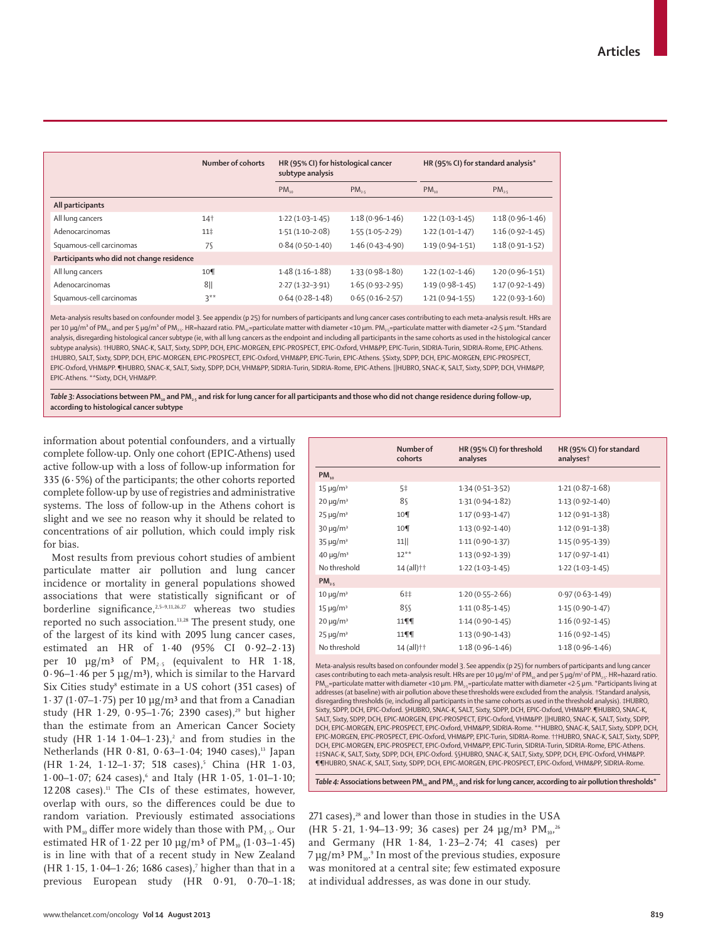|                                           | Number of cohorts | HR (95% CI) for histological cancer<br>subtype analysis |                     | HR (95% CI) for standard analysis* |                     |  |
|-------------------------------------------|-------------------|---------------------------------------------------------|---------------------|------------------------------------|---------------------|--|
|                                           |                   | $PM_{10}$                                               | $PM_{2.5}$          | $PM_{10}$                          | $PM_{2.5}$          |  |
| All participants                          |                   |                                                         |                     |                                    |                     |  |
| All lung cancers                          | 14 <sup>†</sup>   | $1.22(1.03 - 1.45)$                                     | $1.18(0.96 - 1.46)$ | $1.22(1.03-1.45)$                  | $1.18(0.96 - 1.46)$ |  |
| Adenocarcinomas                           | 11 <sup>†</sup>   | $1.51(1.10-2.08)$                                       | $1.55(1.05 - 2.29)$ | $1.22(1.01-1.47)$                  | $1.16(0.92 - 1.45)$ |  |
| Squamous-cell carcinomas                  | 75                | $0.84(0.50-1.40)$                                       | $1.46(0.43 - 4.90)$ | $1.19(0.94 - 1.51)$                | $1.18(0.91 - 1.52)$ |  |
| Participants who did not change residence |                   |                                                         |                     |                                    |                     |  |
| All lung cancers                          | 10 <sup>4</sup>   | $1.48(1.16-1.88)$                                       | $1.33(0.98 - 1.80)$ | $1.22(1.02 - 1.46)$                | $1.20(0.96 - 1.51)$ |  |
| Adenocarcinomas                           | $8$               | $2.27(1.32-3.91)$                                       | $1.65(0.93 - 2.95)$ | $1.19(0.98 - 1.45)$                | $1.17(0.92 - 1.49)$ |  |
| Squamous-cell carcinomas                  | $3***$            | $0.64(0.28 - 1.48)$                                     | $0.65(0.16-2.57)$   | $1.21(0.94 - 1.55)$                | $1.22(0.93 - 1.60)$ |  |

Meta-analysis results based on confounder model 3. See appendix (p 25) for numbers of participants and lung cancer cases contributing to each meta-analysis result. HRs are per 10 μg/m<sup>3</sup> of PM<sub>10</sub> and per 5 μg/m<sup>3</sup> of PM<sub>25</sub>. HR=hazard ratio. PM<sub>10</sub>=particulate matter with diameter <10 μm. PM<sub>25</sub>=particulate matter with diameter <2·5 μm. \*Standard analysis, disregarding histological cancer subtype (ie, with all lung cancers as the endpoint and including all participants in the same cohorts as used in the histological cancer subtype analysis). †HUBRO, SNAC-K, SALT, Sixty, SDPP, DCH, EPIC-MORGEN, EPIC-PROSPECT, EPIC-Oxford, VHM&PP, EPIC-Turin, SIDRIA-Turin, SIDRIA-Rome, EPIC-Athens. ‡HUBRO, SALT, Sixty, SDPP, DCH, EPIC-MORGEN, EPIC-PROSPECT, EPIC-Oxford, VHM&PP, EPIC-Turin, EPIC-Athens. §Sixty, SDPP, DCH, EPIC-MORGEN, EPIC-PROSPECT, EPIC-Oxford, VHM&PP. ¶HUBRO, SNAC-K, SALT, Sixty, SDPP, DCH, VHM&PP, SIDRIA-Turin, SIDRIA-Rome, EPIC-Athens. ||HUBRO, SNAC-K, SALT, Sixty, SDPP, DCH, VHM&PP, EPIC-Athens. \*\*Sixty, DCH, VHM&PP.

Table 3: Associations between PM<sub>10</sub> and PM<sub>12</sub> and risk for lung cancer for all participants and those who did not change residence during follow-up, **according to histological cancer subtype**

information about potential confounders, and a virtually complete follow-up. Only one cohort (EPIC-Athens) used active follow-up with a loss of follow-up information for 335  $(6.5%)$  of the participants; the other cohorts reported complete follow-up by use of registries and administrative systems. The loss of follow-up in the Athens cohort is slight and we see no reason why it should be related to concentrations of air pollution, which could imply risk for bias.

Most results from previous cohort studies of ambient particulate matter air pollution and lung cancer incidence or mortality in general populations showed associations that were statistically significant or of borderline significance,  $2,5-9,11,26,27$  whereas two studies reported no such association.<sup>13,28</sup> The present study, one of the largest of its kind with 2095 lung cancer cases, estimated an HR of 1·40 (95% CI 0·92–2·13) per 10  $\mu$ g/m<sup>3</sup> of PM<sub>2·5</sub> (equivalent to HR 1·18,  $0.96-1.46$  per 5  $\mu$ g/m<sup>3</sup>), which is similar to the Harvard Six Cities study<sup>8</sup> estimate in a US cohort (351 cases) of  $1.37 (1.07 - 1.75)$  per 10  $\mu$ g/m<sup>3</sup> and that from a Canadian study (HR 1.29,  $0.95-1.76$ ; 2390 cases),<sup>29</sup> but higher than the estimate from an American Cancer Society study (HR  $1.14$   $1.04$ – $1.23$ ),<sup>2</sup> and from studies in the Netherlands (HR 0.81, 0.63-1.04; 1940 cases),<sup>13</sup> Japan (HR 1.24, 1.12–1.37; 518 cases),<sup>5</sup> China (HR 1.03,  $1.00-1.07$ ; 624 cases), and Italy (HR  $1.05$ ,  $1.01-1.10$ ; 12 208 cases).<sup>11</sup> The CIs of these estimates, however, overlap with ours, so the differences could be due to random variation. Previously estimated associations with PM<sub>10</sub> differ more widely than those with PM<sub>2·5</sub>. Our estimated HR of 1.22 per 10  $\mu$ g/m<sup>3</sup> of PM<sub>10</sub> (1.03–1.45) is in line with that of a recent study in New Zealand  $(HR 1.15, 1.04–1.26; 1686 cases),$ <sup>7</sup> higher than that in a previous European study (HR 0·91, 0·70–1·18;

|                | Number of<br>cohorts | HR (95% CI) for threshold<br>analyses | HR (95% CI) for standard<br>analysest |
|----------------|----------------------|---------------------------------------|---------------------------------------|
| $PM_{10}$      |                      |                                       |                                       |
| $15 \mu g/m3$  | 5 <sup>‡</sup>       | $1.34(0.51-3.52)$                     | $1.21(0.87 - 1.68)$                   |
| $20 \mu g/m3$  | 86                   | $1.31(0.94 - 1.82)$                   | $1.13(0.92 - 1.40)$                   |
| $25 \mu q/m^3$ | 10 <sup>q</sup>      | $1.17(0.93 - 1.47)$                   | $1.12(0.91-1.38)$                     |
| $30 \mu q/m3$  | 10 <sup>q</sup>      | $1.13(0.92 - 1.40)$                   | $1.12(0.91 - 1.38)$                   |
| $35 \mu g/m3$  | 11                   | $1.11(0.90 - 1.37)$                   | $1.15(0.95 - 1.39)$                   |
| $40 \mu q/m3$  | $12***$              | $1.13(0.92 - 1.39)$                   | $1.17(0.97 - 1.41)$                   |
| No threshold   | 14 (all) † †         | $1.22(1.03 - 1.45)$                   | $1.22(1.03 - 1.45)$                   |
| $PM_{2.5}$     |                      |                                       |                                       |
| $10 \mu g/m3$  | $6 + 1$              | $1.20(0.55 - 2.66)$                   | $0.97(0.63 - 1.49)$                   |
| $15 \mu q/m^3$ | 855                  | $1.11(0.85 - 1.45)$                   | $1.15(0.90 - 1.47)$                   |
| $20 \mu q/m^3$ | $11\P\P$             | $1.14(0.90 - 1.45)$                   | $1.16(0.92 - 1.45)$                   |
| $25 \mu q/m^3$ | $11\P$               | $1.13(0.90 - 1.43)$                   | $1.16(0.92 - 1.45)$                   |
| No threshold   | 14 (all) + +         | $1.18(0.96 - 1.46)$                   | $1.18(0.96 - 1.46)$                   |

Meta-analysis results based on confounder model 3. See appendix (p 25) for numbers of participants and lung cancer cases contributing to each meta-analysis result. HRs are per 10  $\mu$ g/m<sup>3</sup> of PM<sub>10</sub> and per 5  $\mu$ g/m<sup>3</sup> of PM<sub>25</sub>. HR=hazard ratio. PM10=particulate matter with diameter <10 μm. PM2·5=particulate matter with diameter <2·5 μm. \*Participants living at addresses (at baseline) with air pollution above these thresholds were excluded from the analysis. †Standard analysis, disregarding thresholds (ie, including all participants in the same cohorts as used in the threshold analysis). ‡HUBRO, Sixty, SDPP, DCH, EPIC-Oxford. §HUBRO, SNAC-K, SALT, Sixty, SDPP, DCH, EPIC-Oxford, VHM&PP. ¶HUBRO, SNAC-K, SALT, Sixty, SDPP, DCH, EPIC-MORGEN, EPIC-PROSPECT, EPIC-Oxford, VHM&PP. ||HUBRO, SNAC-K, SALT, Sixty, SDPP, DCH, EPIC-MORGEN, EPIC-PROSPECT, EPIC-Oxford, VHM&PP, SIDRIA-Rome. \*\*HUBRO, SNAC-K, SALT, Sixty, SDPP, DCH, EPIC-MORGEN, EPIC-PROSPECT, EPIC-Oxford, VHM&PP, EPIC-Turin, SIDRIA-Rome. ††HUBRO, SNAC-K, SALT, Sixty, SDPP, DCH, EPIC-MORGEN, EPIC-PROSPECT, EPIC-Oxford, VHM&PP, EPIC-Turin, SIDRIA-Turin, SIDRIA-Rome, EPIC-Athens. ‡‡SNAC-K, SALT, Sixty, SDPP, DCH, EPIC-Oxford. §§HUBRO, SNAC-K, SALT, Sixty, SDPP, DCH, EPIC-Oxford, VHM&PP. ¶¶HUBRO, SNAC-K, SALT, Sixty, SDPP, DCH, EPIC-MORGEN, EPIC-PROSPECT, EPIC-Oxford, VHM&PP, SIDRIA-Rome.

Table 4: Associations between PM<sub>10</sub> and PM<sub>25</sub> and risk for lung cancer, according to air pollution thresholds<sup>\*</sup>

 $271$  cases),<sup>28</sup> and lower than those in studies in the USA (HR 5 $\cdot$ 21, 1 $\cdot$ 94–13 $\cdot$ 99; 36 cases) per 24  $\mu$ g/m<sup>3</sup> PM<sub>10</sub><sup>26</sup> and Germany (HR 1·84, 1·23–2·74; 41 cases) per 7 μg/m<sup>3</sup> PM<sub>10</sub>.<sup>9</sup> In most of the previous studies, exposure was monitored at a central site; few estimated exposure at individual addresses, as was done in our study.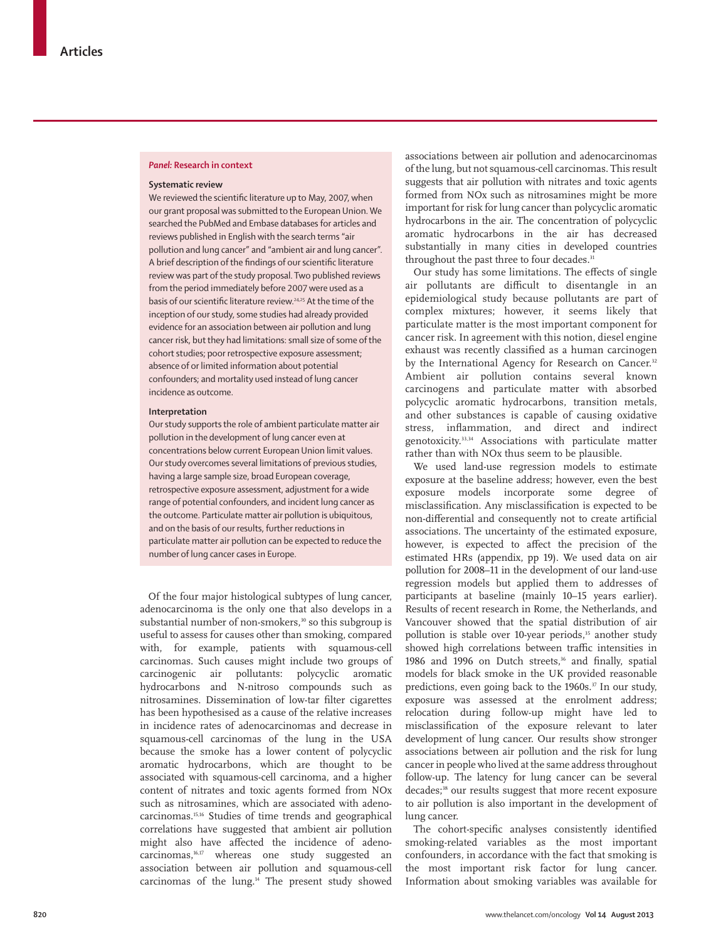#### *Panel:* **Research in context**

#### **Systematic review**

We reviewed the scientific literature up to May, 2007, when our grant proposal was submitted to the European Union. We searched the PubMed and Embase databases for articles and reviews published in English with the search terms "air pollution and lung cancer" and "ambient air and lung cancer". A brief description of the findings of our scientific literature review was part of the study proposal. Two published reviews from the period immediately before 2007 were used as a basis of our scientific literature review.<sup>24,25</sup> At the time of the inception of our study, some studies had already provided evidence for an association between air pollution and lung cancer risk, but they had limitations: small size of some of the cohort studies; poor retrospective exposure assessment; absence of or limited information about potential confounders; and mortality used instead of lung cancer incidence as outcome.

#### **Interpretation**

Our study supports the role of ambient particulate matter air pollution in the development of lung cancer even at concentrations below current European Union limit values. Our study overcomes several limitations of previous studies, having a large sample size, broad European coverage, retrospective exposure assessment, adjustment for a wide range of potential confounders, and incident lung cancer as the outcome. Particulate matter air pollution is ubiquitous, and on the basis of our results, further reductions in particulate matter air pollution can be expected to reduce the number of lung cancer cases in Europe.

Of the four major histological subtypes of lung cancer, adenocarcinoma is the only one that also develops in a substantial number of non-smokers,<sup>30</sup> so this subgroup is useful to assess for causes other than smoking, compared with, for example, patients with squamous-cell carcinomas. Such causes might include two groups of carcinogenic air pollutants: polycyclic aromatic hydrocarbons and N-nitroso compounds such as nitrosamines. Dissemination of low-tar filter cigarettes has been hypothesised as a cause of the relative increases in incidence rates of adenocarcinomas and decrease in squamous-cell carcinomas of the lung in the USA because the smoke has a lower content of polycyclic aromatic hydrocarbons, which are thought to be associated with squamous-cell carcinoma, and a higher content of nitrates and toxic agents formed from NOx such as nitrosamines, which are associated with adenocarcinomas.15,16 Studies of time trends and geographical correlations have suggested that ambient air pollution might also have affected the incidence of adenocarcinomas,16,17 whereas one study suggested an association between air pollution and squamous-cell carcinomas of the lung.14 The present study showed associations between air pollution and adenocarcinomas of the lung, but not squamous-cell carcinomas. This result suggests that air pollution with nitrates and toxic agents formed from NOx such as nitrosamines might be more important for risk for lung cancer than polycyclic aromatic hydrocarbons in the air. The concentration of polycyclic aromatic hydrocarbons in the air has decreased substantially in many cities in developed countries throughout the past three to four decades.<sup>31</sup>

Our study has some limitations. The effects of single air pollutants are difficult to disentangle in an epidemiological study because pollutants are part of complex mixtures; however, it seems likely that particulate matter is the most important component for cancer risk. In agreement with this notion, diesel engine exhaust was recently classified as a human carcinogen by the International Agency for Research on Cancer.<sup>32</sup> Ambient air pollution contains several known carcinogens and particulate matter with absorbed polycyclic aromatic hydrocarbons, transition metals, and other substances is capable of causing oxidative stress, inflammation, and direct and indirect genotoxicity.33,34 Associations with particulate matter rather than with NOx thus seem to be plausible.

We used land-use regression models to estimate exposure at the baseline address; however, even the best exposure models incorporate some degree of misclassification. Any misclassification is expected to be non-differential and consequently not to create artificial associations. The uncertainty of the estimated exposure, however, is expected to affect the precision of the estimated HRs (appendix, pp 19). We used data on air pollution for 2008–11 in the development of our land-use regression models but applied them to addresses of participants at baseline (mainly 10–15 years earlier). Results of recent research in Rome, the Netherlands, and Vancouver showed that the spatial distribution of air pollution is stable over 10-year periods,<sup>35</sup> another study showed high correlations between traffic intensities in 1986 and 1996 on Dutch streets,<sup>36</sup> and finally, spatial models for black smoke in the UK provided reasonable predictions, even going back to the 1960s.<sup>37</sup> In our study, exposure was assessed at the enrolment address; relocation during follow-up might have led to misclassification of the exposure relevant to later development of lung cancer. Our results show stronger associations between air pollution and the risk for lung cancer in people who lived at the same address throughout follow-up. The latency for lung cancer can be several decades;<sup>38</sup> our results suggest that more recent exposure to air pollution is also important in the development of lung cancer.

The cohort-specific analyses consistently identified smoking-related variables as the most important confounders, in accordance with the fact that smoking is the most important risk factor for lung cancer. Information about smoking variables was available for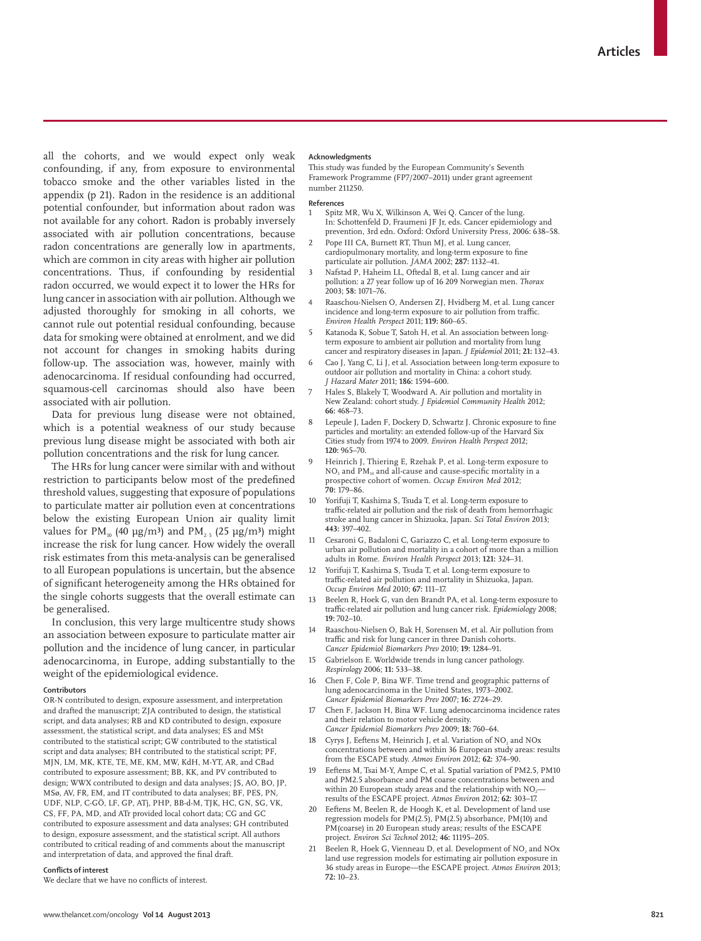all the cohorts, and we would expect only weak confounding, if any, from exposure to environmental tobacco smoke and the other variables listed in the appendix (p 21). Radon in the residence is an additional potential confounder, but information about radon was not available for any cohort. Radon is probably inversely associated with air pollution concentrations, because radon concentrations are generally low in apartments, which are common in city areas with higher air pollution concentrations. Thus, if confounding by residential radon occurred, we would expect it to lower the HRs for lung cancer in association with air pollution. Although we adjusted thoroughly for smoking in all cohorts, we cannot rule out potential residual confounding, because data for smoking were obtained at enrolment, and we did not account for changes in smoking habits during follow-up. The association was, however, mainly with adenocarcinoma. If residual confounding had occurred, squamous-cell carcinomas should also have been associated with air pollution.

Data for previous lung disease were not obtained, which is a potential weakness of our study because previous lung disease might be associated with both air pollution concentrations and the risk for lung cancer.

The HRs for lung cancer were similar with and without restriction to participants below most of the predefined threshold values, suggesting that exposure of populations to particulate matter air pollution even at concentrations below the existing European Union air quality limit values for  $PM_{10}$  (40  $\mu$ g/m<sup>3</sup>) and  $PM_{2.5}$  (25  $\mu$ g/m<sup>3</sup>) might increase the risk for lung cancer. How widely the overall risk estimates from this meta-analysis can be generalised to all European populations is uncertain, but the absence of significant heterogeneity among the HRs obtained for the single cohorts suggests that the overall estimate can be generalised.

In conclusion, this very large multicentre study shows an association between exposure to particulate matter air pollution and the incidence of lung cancer, in particular adenocarcinoma, in Europe, adding substantially to the weight of the epidemiological evidence.

#### **Contributors**

OR-N contributed to design, exposure assessment, and interpretation and drafted the manuscript; ZJA contributed to design, the statistical script, and data analyses; RB and KD contributed to design, exposure assessment, the statistical script, and data analyses; ES and MSt contributed to the statistical script; GW contributed to the statistical script and data analyses; BH contributed to the statistical script; PF, MJN, LM, MK, KTE, TE, ME, KM, MW, KdH, M-YT, AR, and CBad contributed to exposure assessment; BB, KK, and PV contributed to design; WWX contributed to design and data analyses; JS, AO, BO, JP, MSø, AV, FR, EM, and IT contributed to data analyses; BF, PES, PN, UDF, NLP, C-GÖ, LF, GP, ATj, PHP, BB-d-M, TJK, HC, GN, SG, VK, CS, FF, PA, MD, and ATr provided local cohort data; CG and GC contributed to exposure assessment and data analyses; GH contributed to design, exposure assessment, and the statistical script. All authors contributed to critical reading of and comments about the manuscript and interpretation of data, and approved the final draft.

#### **Confl icts of interest**

We declare that we have no conflicts of interest.

#### **Acknowledgments**

This study was funded by the European Community's Seventh Framework Programme (FP7/2007–2011) under grant agreement number 211250.

#### **References**

- Spitz MR, Wu X, Wilkinson A, Wei Q. Cancer of the lung. In: Schottenfeld D, Fraumeni JF Jr, eds. Cancer epidemiology and prevention, 3rd edn. Oxford: Oxford University Press, 2006: 638–58.
- 2 Pope III CA, Burnett RT, Thun MJ, et al. Lung cancer, cardiopulmonary mortality, and long-term exposure to fine<br>particulate air pollution. *JAMA* 2002; **287:** 1132–41.
- 3 Nafstad P, Haheim LL, Oftedal B, et al. Lung cancer and air pollution: a 27 year follow up of 16 209 Norwegian men. *Thorax* 2003; **58:** 1071–76.
- 4 Raaschou-Nielsen O, Andersen ZJ, Hvidberg M, et al. Lung cancer incidence and long-term exposure to air pollution from traffic. *Environ Health Perspect* 2011; **119:** 860–65.
- Katanoda K, Sobue T, Satoh H, et al. An association between longterm exposure to ambient air pollution and mortality from lung cancer and respiratory diseases in Japan. *J Epidemiol* 2011; **21:** 132–43.
- 6 Cao J, Yang C, Li J, et al. Association between long-term exposure to outdoor air pollution and mortality in China: a cohort study. *J Hazard Mater* 2011; **186:** 1594–600.
- 7 Hales S, Blakely T, Woodward A. Air pollution and mortality in New Zealand: cohort study. *J Epidemiol Community Health* 2012; **66:** 468–73.
- 8 Lepeule J, Laden F, Dockery D, Schwartz J. Chronic exposure to fine particles and mortality: an extended follow-up of the Harvard Six Cities study from 1974 to 2009. *Environ Health Perspect* 2012; **120:** 965–70.
- 9 Heinrich J, Thiering E, Rzehak P, et al. Long-term exposure to  $NO<sub>2</sub>$  and  $PM<sub>10</sub>$  and all-cause and cause-specific mortality in a prospective cohort of women. *Occup Environ Med* 2012; **70:** 179–86.
- 10 Yorifuji T, Kashima S, Tsuda T, et al. Long-term exposure to traffic-related air pollution and the risk of death from hemorrhagic stroke and lung cancer in Shizuoka, Japan. *Sci Total Environ* 2013; **443:** 397–402.
- 11 Cesaroni G, Badaloni C, Gariazzo C, et al. Long-term exposure to urban air pollution and mortality in a cohort of more than a million adults in Rome. *Environ Health Perspect* 2013; **121:** 324–31.
- 12 Yorifuji T, Kashima S, Tsuda T, et al. Long-term exposure to traffic-related air pollution and mortality in Shizuoka, Japan. *Occup Environ Med* 2010; **67:** 111–17.
- 13 Beelen R, Hoek G, van den Brandt PA, et al. Long-term exposure to traffic-related air pollution and lung cancer risk. *Epidemiology* 2008; **19:** 702–10.
- 14 Raaschou-Nielsen O, Bak H, Sorensen M, et al. Air pollution from traffic and risk for lung cancer in three Danish cohorts. *Cancer Epidemiol Biomarkers Prev* 2010; **19:** 1284–91.
- Gabrielson E. Worldwide trends in lung cancer pathology. *Respirology* 2006; **11:** 533–38.
- 16 Chen F, Cole P, Bina WF. Time trend and geographic patterns of lung adenocarcinoma in the United States, 1973–2002. *Cancer Epidemiol Biomarkers Prev* 2007; **16:** 2724–29.
- 17 Chen F, Jackson H, Bina WF. Lung adenocarcinoma incidence rates and their relation to motor vehicle density. *Cancer Epidemiol Biomarkers Prev* 2009; **18:** 760–64.
- Cyrys J, Eeftens M, Heinrich J, et al. Variation of NO<sub>2</sub> and NO<sub>x</sub> concentrations between and within 36 European study areas: results from the ESCAPE study. *Atmos Environ* 2012; **62:** 374–90.
- 19 Eeftens M, Tsai M-Y, Ampe C, et al. Spatial variation of PM2.5, PM10 and PM2.5 absorbance and PM coarse concentrations between and within 20 European study areas and the relationship with  $NO<sub>2</sub>$ results of the ESCAPE project. *Atmos Environ* 2012; **62:** 303–17.
- 20 Eeftens M, Beelen R, de Hoogh K, et al. Development of land use regression models for PM(2.5), PM(2.5) absorbance, PM(10) and PM(coarse) in 20 European study areas; results of the ESCAPE project. *Environ Sci Technol* 2012; **46:** 11195–205.
- Beelen R, Hoek G, Vienneau D, et al. Development of NO<sub>2</sub> and NO<sub>x</sub> land use regression models for estimating air pollution exposure in 36 study areas in Europe—the ESCAPE project. *Atmos Environ* 2013; **72:** 10–23.